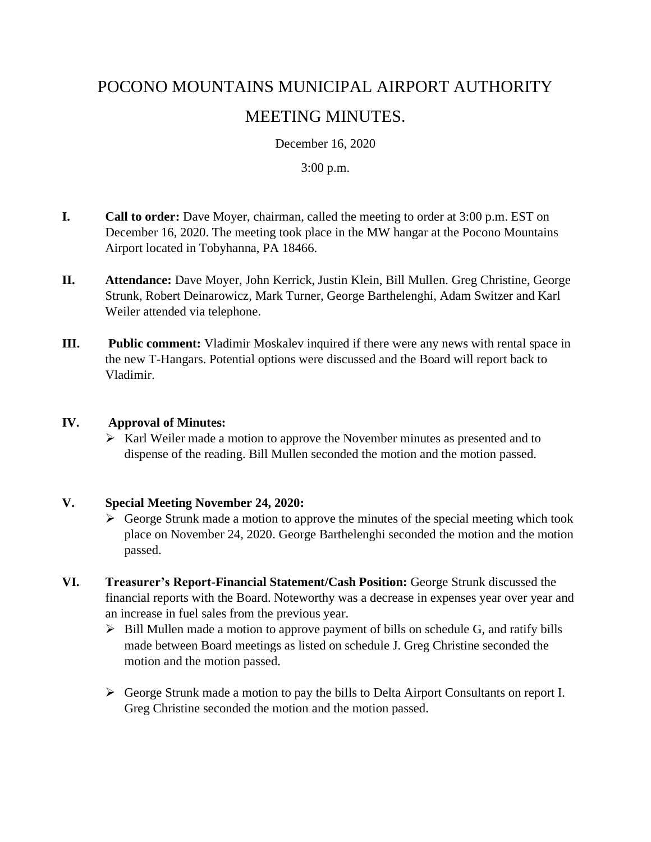# POCONO MOUNTAINS MUNICIPAL AIRPORT AUTHORITY MEETING MINUTES.

December 16, 2020

3:00 p.m.

- **I. Call to order:** Dave Moyer, chairman, called the meeting to order at 3:00 p.m. EST on December 16, 2020. The meeting took place in the MW hangar at the Pocono Mountains Airport located in Tobyhanna, PA 18466.
- **II. Attendance:** Dave Moyer, John Kerrick, Justin Klein, Bill Mullen. Greg Christine, George Strunk, Robert Deinarowicz, Mark Turner, George Barthelenghi, Adam Switzer and Karl Weiler attended via telephone.
- **III. Public comment:** Vladimir Moskalev inquired if there were any news with rental space in the new T-Hangars. Potential options were discussed and the Board will report back to Vladimir.

#### **IV. Approval of Minutes:**

➢ Karl Weiler made a motion to approve the November minutes as presented and to dispense of the reading. Bill Mullen seconded the motion and the motion passed.

## **V. Special Meeting November 24, 2020:**

- $\triangleright$  George Strunk made a motion to approve the minutes of the special meeting which took place on November 24, 2020. George Barthelenghi seconded the motion and the motion passed.
- **VI. Treasurer's Report-Financial Statement/Cash Position:** George Strunk discussed the financial reports with the Board. Noteworthy was a decrease in expenses year over year and an increase in fuel sales from the previous year.
	- $\triangleright$  Bill Mullen made a motion to approve payment of bills on schedule G, and ratify bills made between Board meetings as listed on schedule J. Greg Christine seconded the motion and the motion passed.
	- ➢ George Strunk made a motion to pay the bills to Delta Airport Consultants on report I. Greg Christine seconded the motion and the motion passed.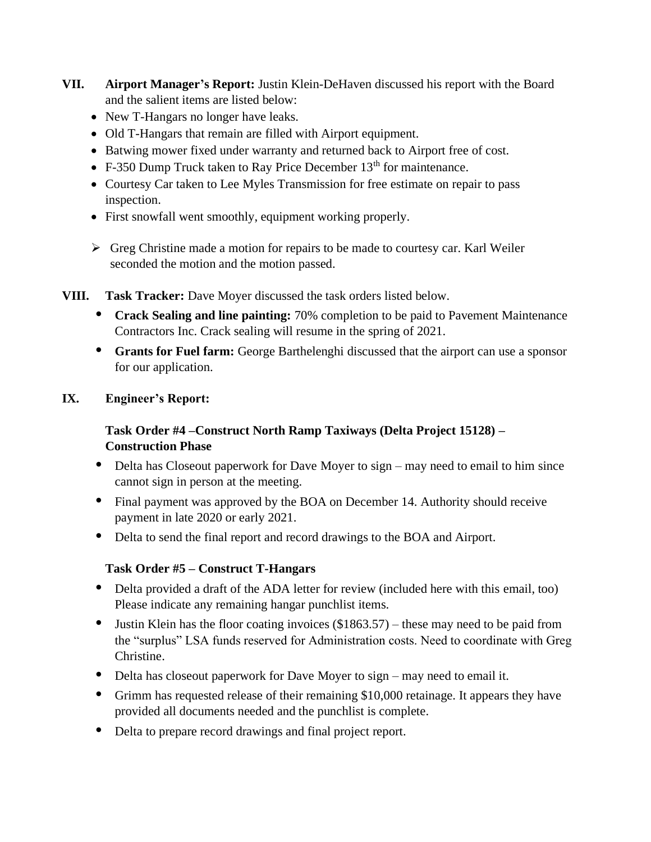- **VII. Airport Manager's Report:** Justin Klein-DeHaven discussed his report with the Board and the salient items are listed below:
	- New T-Hangars no longer have leaks.
	- Old T-Hangars that remain are filled with Airport equipment.
	- Batwing mower fixed under warranty and returned back to Airport free of cost.
	- F-350 Dump Truck taken to Ray Price December  $13<sup>th</sup>$  for maintenance.
	- Courtesy Car taken to Lee Myles Transmission for free estimate on repair to pass inspection.
	- First snowfall went smoothly, equipment working properly.
	- $\triangleright$  Greg Christine made a motion for repairs to be made to courtesy car. Karl Weiler seconded the motion and the motion passed.
- **VIII. Task Tracker:** Dave Moyer discussed the task orders listed below.
	- **• Crack Sealing and line painting:** 70% completion to be paid to Pavement Maintenance Contractors Inc. Crack sealing will resume in the spring of 2021.
	- **Grants for Fuel farm:** George Barthelenghi discussed that the airport can use a sponsor for our application.

## **IX. Engineer's Report:**

## **Task Order #4 –Construct North Ramp Taxiways (Delta Project 15128) – Construction Phase**

- Delta has Closeout paperwork for Dave Moyer to sign may need to email to him since cannot sign in person at the meeting.
- **•** Final payment was approved by the BOA on December 14. Authority should receive payment in late 2020 or early 2021.
- **•** Delta to send the final report and record drawings to the BOA and Airport.

## **Task Order #5 – Construct T-Hangars**

- Delta provided a draft of the ADA letter for review (included here with this email, too) Please indicate any remaining hangar punchlist items.
- Justin Klein has the floor coating invoices (\$1863.57) these may need to be paid from the "surplus" LSA funds reserved for Administration costs. Need to coordinate with Greg Christine.
- Delta has closeout paperwork for Dave Moyer to sign may need to email it.
- **•** Grimm has requested release of their remaining \$10,000 retainage. It appears they have provided all documents needed and the punchlist is complete.
- Delta to prepare record drawings and final project report.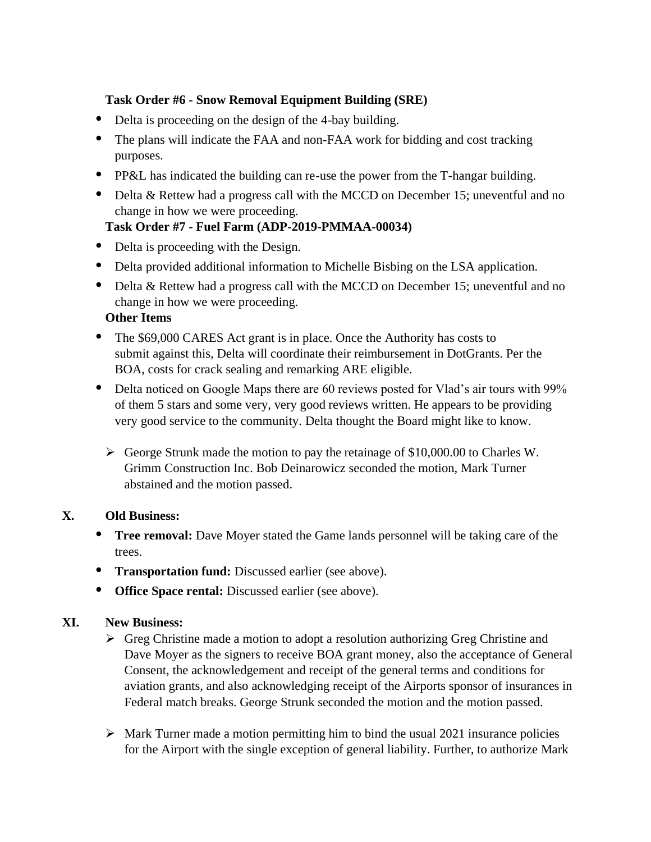#### **Task Order #6 - Snow Removal Equipment Building (SRE)**

- Delta is proceeding on the design of the 4-bay building.
- **•** The plans will indicate the FAA and non-FAA work for bidding and cost tracking purposes.
- **•** PP&L has indicated the building can re-use the power from the T-hangar building.
- Delta & Rettew had a progress call with the MCCD on December 15; uneventful and no change in how we were proceeding.

## **Task Order #7 - Fuel Farm (ADP-2019-PMMAA-00034)**

- Delta is proceeding with the Design.
- **•** Delta provided additional information to Michelle Bisbing on the LSA application.
- Delta & Rettew had a progress call with the MCCD on December 15; uneventful and no change in how we were proceeding.

#### **Other Items**

- **•** The \$69,000 CARES Act grant is in place. Once the Authority has costs to submit against this, Delta will coordinate their reimbursement in DotGrants. Per the BOA, costs for crack sealing and remarking ARE eligible.
- **•** Delta noticed on Google Maps there are 60 reviews posted for Vlad's air tours with 99% of them 5 stars and some very, very good reviews written. He appears to be providing very good service to the community. Delta thought the Board might like to know.
	- $\triangleright$  George Strunk made the motion to pay the retainage of \$10,000.00 to Charles W. Grimm Construction Inc. Bob Deinarowicz seconded the motion, Mark Turner abstained and the motion passed.

## **X. Old Business:**

- **Tree removal:** Dave Moyer stated the Game lands personnel will be taking care of the trees.
- **• Transportation fund:** Discussed earlier (see above).
- **• Office Space rental:** Discussed earlier (see above).

## **XI. New Business:**

- ➢ Greg Christine made a motion to adopt a resolution authorizing Greg Christine and Dave Moyer as the signers to receive BOA grant money, also the acceptance of General Consent, the acknowledgement and receipt of the general terms and conditions for aviation grants, and also acknowledging receipt of the Airports sponsor of insurances in Federal match breaks. George Strunk seconded the motion and the motion passed.
- $\triangleright$  Mark Turner made a motion permitting him to bind the usual 2021 insurance policies for the Airport with the single exception of general liability. Further, to authorize Mark